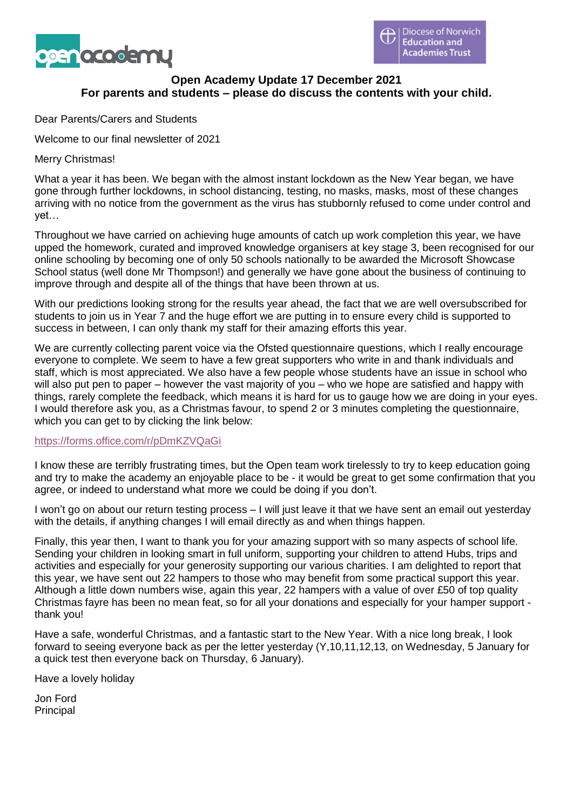



# **Open Academy Update 17 December 2021 For parents and students – please do discuss the contents with your child.**

Dear Parents/Carers and Students

Welcome to our final newsletter of 2021

### Merry Christmas!

What a year it has been. We began with the almost instant lockdown as the New Year began, we have gone through further lockdowns, in school distancing, testing, no masks, masks, most of these changes arriving with no notice from the government as the virus has stubbornly refused to come under control and yet…

Throughout we have carried on achieving huge amounts of catch up work completion this year, we have upped the homework, curated and improved knowledge organisers at key stage 3, been recognised for our online schooling by becoming one of only 50 schools nationally to be awarded the Microsoft Showcase School status (well done Mr Thompson!) and generally we have gone about the business of continuing to improve through and despite all of the things that have been thrown at us.

With our predictions looking strong for the results year ahead, the fact that we are well oversubscribed for students to join us in Year 7 and the huge effort we are putting in to ensure every child is supported to success in between, I can only thank my staff for their amazing efforts this year.

We are currently collecting parent voice via the Ofsted questionnaire questions, which I really encourage everyone to complete. We seem to have a few great supporters who write in and thank individuals and staff, which is most appreciated. We also have a few people whose students have an issue in school who will also put pen to paper – however the vast majority of you – who we hope are satisfied and happy with things, rarely complete the feedback, which means it is hard for us to gauge how we are doing in your eyes. I would therefore ask you, as a Christmas favour, to spend 2 or 3 minutes completing the questionnaire, which you can get to by clicking the link below:

#### <https://forms.office.com/r/pDmKZVQaGi>

I know these are terribly frustrating times, but the Open team work tirelessly to try to keep education going and try to make the academy an enjoyable place to be - it would be great to get some confirmation that you agree, or indeed to understand what more we could be doing if you don't.

I won't go on about our return testing process – I will just leave it that we have sent an email out yesterday with the details, if anything changes I will email directly as and when things happen.

Finally, this year then, I want to thank you for your amazing support with so many aspects of school life. Sending your children in looking smart in full uniform, supporting your children to attend Hubs, trips and activities and especially for your generosity supporting our various charities. I am delighted to report that this year, we have sent out 22 hampers to those who may benefit from some practical support this year. Although a little down numbers wise, again this year, 22 hampers with a value of over £50 of top quality Christmas fayre has been no mean feat, so for all your donations and especially for your hamper support thank you!

Have a safe, wonderful Christmas, and a fantastic start to the New Year. With a nice long break, I look forward to seeing everyone back as per the letter yesterday (Y,10,11,12,13, on Wednesday, 5 January for a quick test then everyone back on Thursday, 6 January).

Have a lovely holiday

Jon Ford Principal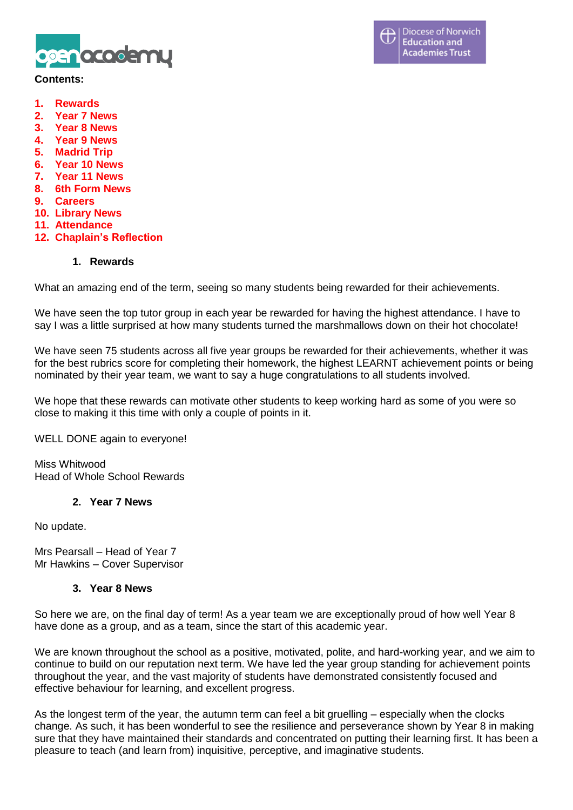

#### **Contents:**

- **1. Rewards**
- **2. Year 7 News**
- **3. Year 8 News**
- **4. Year 9 News**
- **5. Madrid Trip**
- **6. Year 10 News**
- **7. Year 11 News**
- **8. 6th Form News**
- **9. Careers**
- **10. Library News**
- **11. Attendance**
- **12. Chaplain's Reflection**

### **1. Rewards**

What an amazing end of the term, seeing so many students being rewarded for their achievements.

We have seen the top tutor group in each year be rewarded for having the highest attendance. I have to say I was a little surprised at how many students turned the marshmallows down on their hot chocolate!

We have seen 75 students across all five year groups be rewarded for their achievements, whether it was for the best rubrics score for completing their homework, the highest LEARNT achievement points or being nominated by their year team, we want to say a huge congratulations to all students involved.

We hope that these rewards can motivate other students to keep working hard as some of you were so close to making it this time with only a couple of points in it.

WELL DONE again to everyone!

Miss Whitwood Head of Whole School Rewards

#### **2. Year 7 News**

No update.

Mrs Pearsall – Head of Year 7 Mr Hawkins – Cover Supervisor

#### **3. Year 8 News**

So here we are, on the final day of term! As a year team we are exceptionally proud of how well Year 8 have done as a group, and as a team, since the start of this academic year.

We are known throughout the school as a positive, motivated, polite, and hard-working year, and we aim to continue to build on our reputation next term. We have led the year group standing for achievement points throughout the year, and the vast majority of students have demonstrated consistently focused and effective behaviour for learning, and excellent progress.

As the longest term of the year, the autumn term can feel a bit gruelling – especially when the clocks change. As such, it has been wonderful to see the resilience and perseverance shown by Year 8 in making sure that they have maintained their standards and concentrated on putting their learning first. It has been a pleasure to teach (and learn from) inquisitive, perceptive, and imaginative students.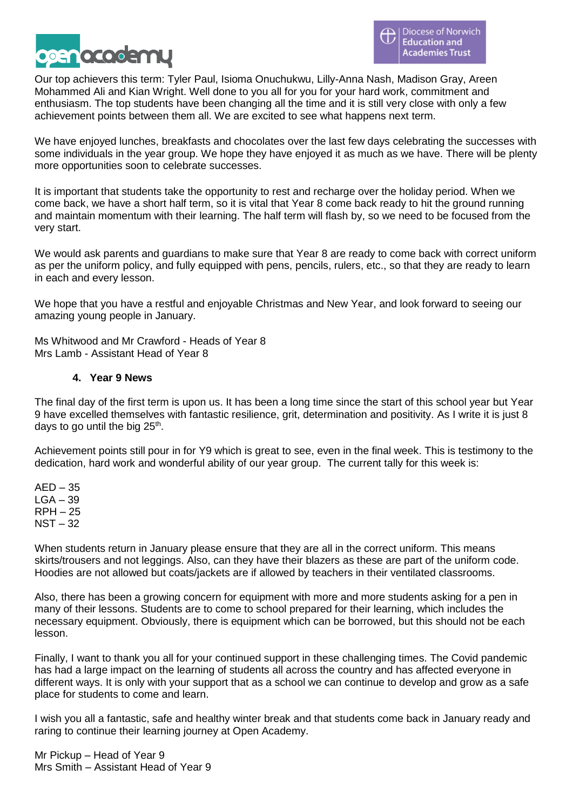

Our top achievers this term: Tyler Paul, Isioma Onuchukwu, Lilly-Anna Nash, Madison Gray, Areen Mohammed Ali and Kian Wright. Well done to you all for you for your hard work, commitment and enthusiasm. The top students have been changing all the time and it is still very close with only a few achievement points between them all. We are excited to see what happens next term.

We have enjoyed lunches, breakfasts and chocolates over the last few days celebrating the successes with some individuals in the year group. We hope they have enjoyed it as much as we have. There will be plenty more opportunities soon to celebrate successes.

It is important that students take the opportunity to rest and recharge over the holiday period. When we come back, we have a short half term, so it is vital that Year 8 come back ready to hit the ground running and maintain momentum with their learning. The half term will flash by, so we need to be focused from the very start.

We would ask parents and guardians to make sure that Year 8 are ready to come back with correct uniform as per the uniform policy, and fully equipped with pens, pencils, rulers, etc., so that they are ready to learn in each and every lesson.

We hope that you have a restful and enjoyable Christmas and New Year, and look forward to seeing our amazing young people in January.

Ms Whitwood and Mr Crawford - Heads of Year 8 Mrs Lamb - Assistant Head of Year 8

## **4. Year 9 News**

The final day of the first term is upon us. It has been a long time since the start of this school year but Year 9 have excelled themselves with fantastic resilience, grit, determination and positivity. As I write it is just 8 days to go until the big  $25<sup>th</sup>$ .

Achievement points still pour in for Y9 which is great to see, even in the final week. This is testimony to the dedication, hard work and wonderful ability of our year group. The current tally for this week is:

 $AED - 35$  $LGA - 39$ RPH – 25 NST – 32

When students return in January please ensure that they are all in the correct uniform. This means skirts/trousers and not leggings. Also, can they have their blazers as these are part of the uniform code. Hoodies are not allowed but coats/jackets are if allowed by teachers in their ventilated classrooms.

Also, there has been a growing concern for equipment with more and more students asking for a pen in many of their lessons. Students are to come to school prepared for their learning, which includes the necessary equipment. Obviously, there is equipment which can be borrowed, but this should not be each lesson.

Finally, I want to thank you all for your continued support in these challenging times. The Covid pandemic has had a large impact on the learning of students all across the country and has affected everyone in different ways. It is only with your support that as a school we can continue to develop and grow as a safe place for students to come and learn.

I wish you all a fantastic, safe and healthy winter break and that students come back in January ready and raring to continue their learning journey at Open Academy.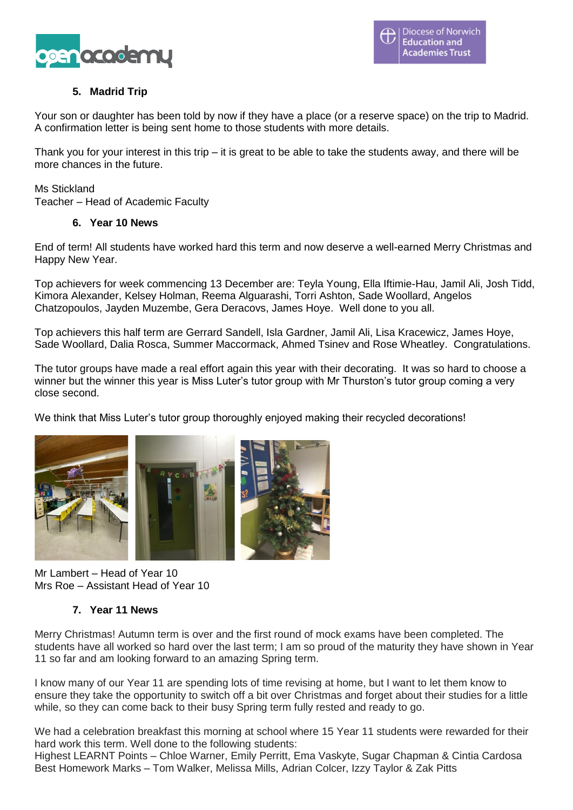

# **5. Madrid Trip**

Your son or daughter has been told by now if they have a place (or a reserve space) on the trip to Madrid. A confirmation letter is being sent home to those students with more details.

Thank you for your interest in this trip – it is great to be able to take the students away, and there will be more chances in the future.

Ms Stickland Teacher – Head of Academic Faculty

# **6. Year 10 News**

End of term! All students have worked hard this term and now deserve a well-earned Merry Christmas and Happy New Year.

Top achievers for week commencing 13 December are: Teyla Young, Ella Iftimie-Hau, Jamil Ali, Josh Tidd, Kimora Alexander, Kelsey Holman, Reema Alguarashi, Torri Ashton, Sade Woollard, Angelos Chatzopoulos, Jayden Muzembe, Gera Deracovs, James Hoye. Well done to you all.

Top achievers this half term are Gerrard Sandell, Isla Gardner, Jamil Ali, Lisa Kracewicz, James Hoye, Sade Woollard, Dalia Rosca, Summer Maccormack, Ahmed Tsinev and Rose Wheatley. Congratulations.

The tutor groups have made a real effort again this year with their decorating. It was so hard to choose a winner but the winner this year is Miss Luter's tutor group with Mr Thurston's tutor group coming a very close second.

We think that Miss Luter's tutor group thoroughly enjoyed making their recycled decorations!



Mr Lambert – Head of Year 10 Mrs Roe – Assistant Head of Year 10

# **7. Year 11 News**

Merry Christmas! Autumn term is over and the first round of mock exams have been completed. The students have all worked so hard over the last term; I am so proud of the maturity they have shown in Year 11 so far and am looking forward to an amazing Spring term.

I know many of our Year 11 are spending lots of time revising at home, but I want to let them know to ensure they take the opportunity to switch off a bit over Christmas and forget about their studies for a little while, so they can come back to their busy Spring term fully rested and ready to go.

We had a celebration breakfast this morning at school where 15 Year 11 students were rewarded for their hard work this term. Well done to the following students:

Highest LEARNT Points – Chloe Warner, Emily Perritt, Ema Vaskyte, Sugar Chapman & Cintia Cardosa Best Homework Marks – Tom Walker, Melissa Mills, Adrian Colcer, Izzy Taylor & Zak Pitts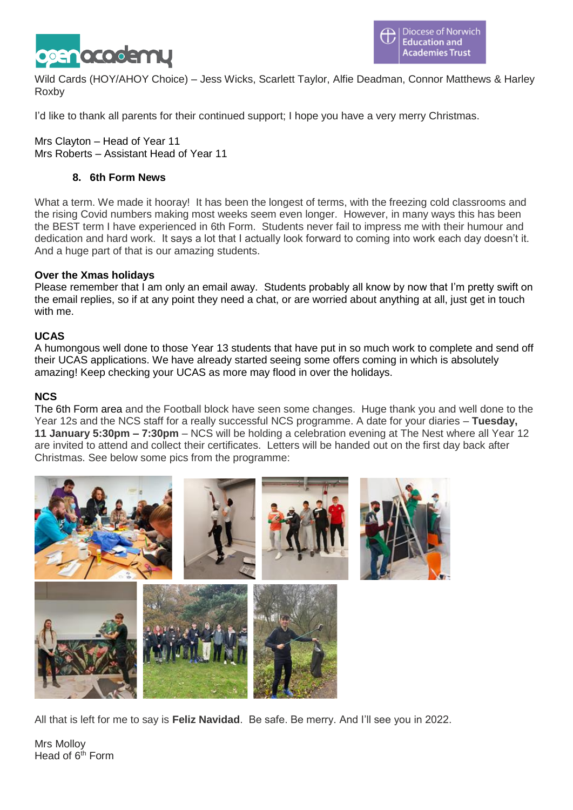

Wild Cards (HOY/AHOY Choice) – Jess Wicks, Scarlett Taylor, Alfie Deadman, Connor Matthews & Harley Roxby

I'd like to thank all parents for their continued support; I hope you have a very merry Christmas.

Mrs Clayton – Head of Year 11 Mrs Roberts – Assistant Head of Year 11

# **8. 6th Form News**

What a term. We made it hooray! It has been the longest of terms, with the freezing cold classrooms and the rising Covid numbers making most weeks seem even longer. However, in many ways this has been the BEST term I have experienced in 6th Form. Students never fail to impress me with their humour and dedication and hard work. It says a lot that I actually look forward to coming into work each day doesn't it. And a huge part of that is our amazing students.

# **Over the Xmas holidays**

Please remember that I am only an email away. Students probably all know by now that I'm pretty swift on the email replies, so if at any point they need a chat, or are worried about anything at all, just get in touch with me.

# **UCAS**

A humongous well done to those Year 13 students that have put in so much work to complete and send off their UCAS applications. We have already started seeing some offers coming in which is absolutely amazing! Keep checking your UCAS as more may flood in over the holidays.

## **NCS**

The 6th Form area and the Football block have seen some changes. Huge thank you and well done to the Year 12s and the NCS staff for a really successful NCS programme. A date for your diaries – **Tuesday, 11 January 5:30pm – 7:30pm** – NCS will be holding a celebration evening at The Nest where all Year 12 are invited to attend and collect their certificates. Letters will be handed out on the first day back after Christmas. See below some pics from the programme:



All that is left for me to say is **Feliz Navidad**. Be safe. Be merry. And I'll see you in 2022.

Mrs Molloy Head of  $6<sup>th</sup>$  Form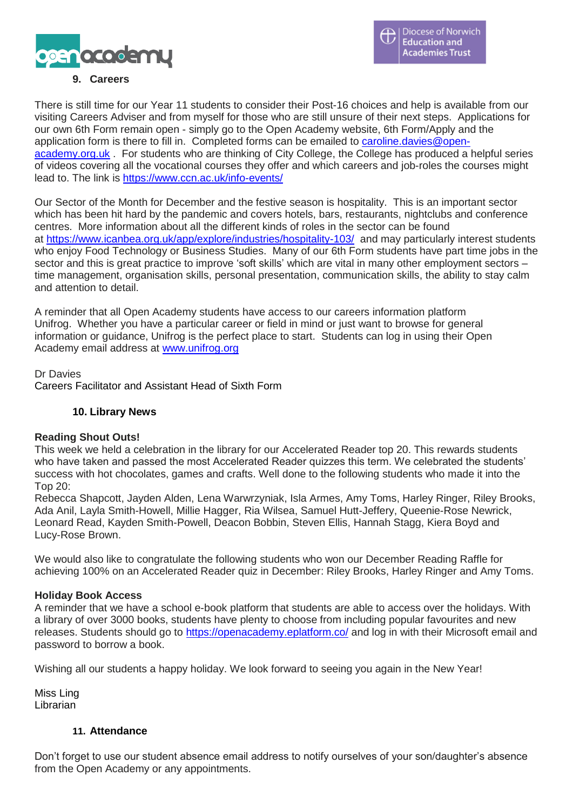

## **9. Careers**

There is still time for our Year 11 students to consider their Post-16 choices and help is available from our visiting Careers Adviser and from myself for those who are still unsure of their next steps. Applications for our own 6th Form remain open - simply go to the Open Academy website, 6th Form/Apply and the application form is there to fill in. Completed forms can be emailed to [caroline.davies@open](mailto:caroline.davies@open-academy.org.uk)[academy.org.uk](mailto:caroline.davies@open-academy.org.uk) . For students who are thinking of City College, the College has produced a helpful series of videos covering all the vocational courses they offer and which careers and job-roles the courses might lead to. The link is <https://www.ccn.ac.uk/info-events/>

Our Sector of the Month for December and the festive season is hospitality. This is an important sector which has been hit hard by the pandemic and covers hotels, bars, restaurants, nightclubs and conference centres. More information about all the different kinds of roles in the sector can be found at <https://www.icanbea.org.uk/app/explore/industries/hospitality-103/> and may particularly interest students who enjoy Food Technology or Business Studies. Many of our 6th Form students have part time jobs in the sector and this is great practice to improve 'soft skills' which are vital in many other employment sectors – time management, organisation skills, personal presentation, communication skills, the ability to stay calm and attention to detail.

A reminder that all Open Academy students have access to our careers information platform Unifrog. Whether you have a particular career or field in mind or just want to browse for general information or guidance, Unifrog is the perfect place to start. Students can log in using their Open Academy email address at [www.unifrog.org](http://www.unifrog.org/)

Dr Davies Careers Facilitator and Assistant Head of Sixth Form

## **10. Library News**

## **Reading Shout Outs!**

This week we held a celebration in the library for our Accelerated Reader top 20. This rewards students who have taken and passed the most Accelerated Reader quizzes this term. We celebrated the students' success with hot chocolates, games and crafts. Well done to the following students who made it into the Top 20:

Rebecca Shapcott, Jayden Alden, Lena Warwrzyniak, Isla Armes, Amy Toms, Harley Ringer, Riley Brooks, Ada Anil, Layla Smith-Howell, Millie Hagger, Ria Wilsea, Samuel Hutt-Jeffery, Queenie-Rose Newrick, Leonard Read, Kayden Smith-Powell, Deacon Bobbin, Steven Ellis, Hannah Stagg, Kiera Boyd and Lucy-Rose Brown.

We would also like to congratulate the following students who won our December Reading Raffle for achieving 100% on an Accelerated Reader quiz in December: Riley Brooks, Harley Ringer and Amy Toms.

## **Holiday Book Access**

A reminder that we have a school e-book platform that students are able to access over the holidays. With a library of over 3000 books, students have plenty to choose from including popular favourites and new releases. Students should go to <https://openacademy.eplatform.co/> and log in with their Microsoft email and password to borrow a book.

Wishing all our students a happy holiday. We look forward to seeing you again in the New Year!

Miss Ling Librarian

## **11. Attendance**

Don't forget to use our student absence email address to notify ourselves of your son/daughter's absence from the Open Academy or any appointments.